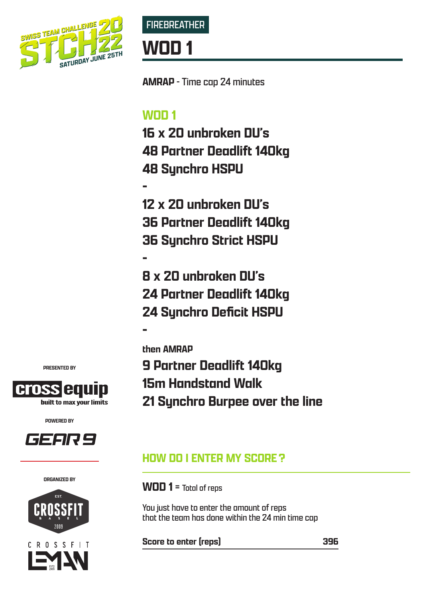



**AMRAP** - Time cap 24 minutes

# **WOD 1**

**16 x 20 unbroken DU's 48 Partner Deadlift 140kg 48 Synchro HSPU**

**-**

**-**

**-** 

**12 x 20 unbroken DU's 36 Partner Deadlift 140kg 36 Synchro Strict HSPU**

**8 x 20 unbroken DU's 24 Partner Deadlift 140kg 24 Synchro Deficit HSPU**

**then AMRAP 9 Partner Deadlift 140kg 15m Handstand Walk 21 Synchro Burpee over the line**

## **HOW DO I ENTER MY SCORE?**

**WOD 1** = Total of reps

You just have to enter the amount of reps that the team has done within the 24 min time cap

**Score to enter (reps) 396**

**PRESENTED BY**



**POWERED BY**



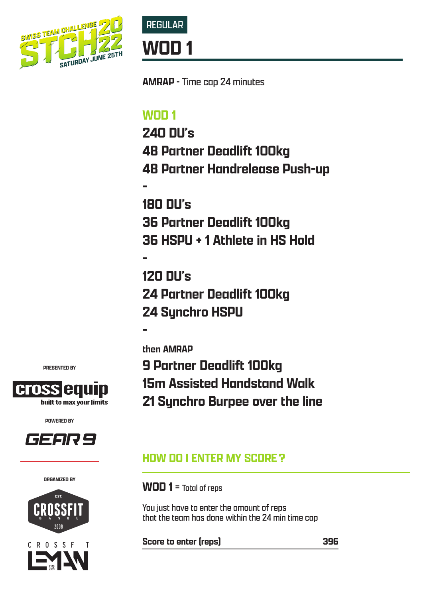



**AMRAP** - Time cap 24 minutes

# **WOD 1**

**240 DU's 48 Partner Deadlift 100kg 48 Partner Handrelease Push-up**

**-**

**180 DU's 36 Partner Deadlift 100kg 36 HSPU + 1 Athlete in HS Hold**

**- 120 DU's 24 Partner Deadlift 100kg 24 Synchro HSPU**

**then AMRAP**

**-** 

**9 Partner Deadlift 100kg 15m Assisted Handstand Walk 21 Synchro Burpee over the line**

## **HOW DO I ENTER MY SCORE?**

**WOD 1** = Total of reps

You just have to enter the amount of reps that the team has done within the 24 min time cap

**Score to enter (reps) 396**

**PRESENTED BY**



**POWERED BY**



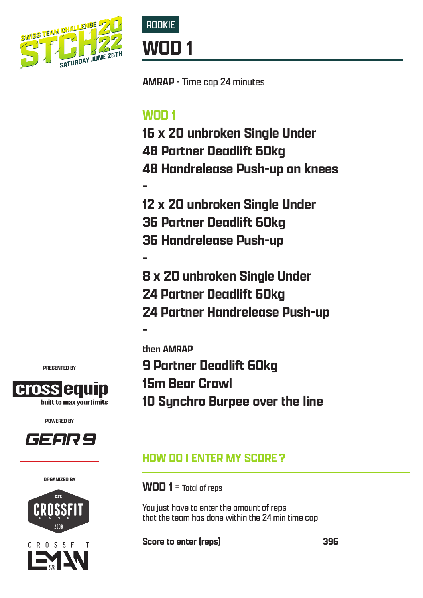



**AMRAP** - Time cap 24 minutes

# **WOD 1**

**16 x 20 unbroken Single Under 48 Partner Deadlift 60kg 48 Handrelease Push-up on knees**

**-**

**-** 

**12 x 20 unbroken Single Under 36 Partner Deadlift 60kg 36 Handrelease Push-up**

**- 8 x 20 unbroken Single Under 24 Partner Deadlift 60kg 24 Partner Handrelease Push-up**

**then AMRAP 9 Partner Deadlift 60kg 15m Bear Crawl 10 Synchro Burpee over the line**

## **HOW DO I ENTER MY SCORE?**

**WOD 1** = Total of reps

You just have to enter the amount of reps that the team has done within the 24 min time cap

**Score to enter (reps) 396**

**PRESENTED BY**



**POWERED BY**



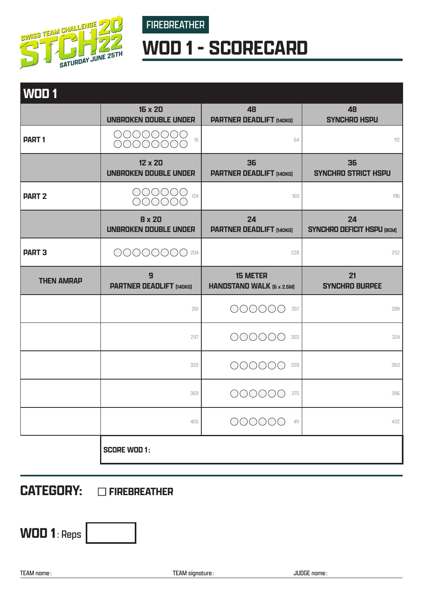

FIREBREATHER

# **WOD 1 - SCORECARD**

| WOD <sub>1</sub>  |                                                                                                      |                                                     |                                         |
|-------------------|------------------------------------------------------------------------------------------------------|-----------------------------------------------------|-----------------------------------------|
|                   | 16 x 20<br>UNBROKEN DOUBLE UNDER                                                                     | 48<br><b>PARTNER DEADLIFT [140KG]</b>               | 48<br><b>SYNCHRO HSPU</b>               |
| <b>PART1</b>      | $\bigcirc$ $\bigcirc$ $\bigcirc$ $\bigcirc$ $\bigcirc$ $\bigcirc$<br>16<br>$\bigcap \bigcap \bigcap$ | 64                                                  | 112                                     |
|                   | 12 x 20<br>UNBROKEN DOUBLE UNDER                                                                     | 36<br><b>PARTNER DEADLIFT [140KG]</b>               | 36<br><b>SYNCHRO STRICT HSPU</b>        |
| <b>PART 2</b>     | 000000<br>000000<br>124                                                                              | 160                                                 | 196                                     |
|                   | <b>8 x 20</b><br>UNBROKEN DOUBLE UNDER                                                               | 24<br><b>PARTNER DEADLIFT [140KG]</b>               | 24<br><b>SYNCHRO DEFICIT HSPU (BCM)</b> |
| <b>PART 3</b>     | 0000000 204                                                                                          | 228                                                 | 252                                     |
| <b>THEN AMRAP</b> | 9<br><b>PARTNER DEADLIFT [140KG]</b>                                                                 | <b>15 METER</b><br><b>HANDSTAND WALK (6 x 2.5M)</b> | 21<br><b>SYNCHRO BURPEE</b>             |
|                   | 261                                                                                                  | 000000<br>267                                       | 288                                     |
|                   | 297                                                                                                  | 000000<br>303                                       | 324                                     |
|                   | 333                                                                                                  | 000000<br>339                                       | 360                                     |
|                   | 369                                                                                                  | 375                                                 | 396                                     |
|                   | 405                                                                                                  | 000000<br>411                                       | 432                                     |
|                   | <b>SCORE WOD 1:</b>                                                                                  |                                                     |                                         |

# **CATEGORY: DEREBREATHER**

**WOD 1**: Reps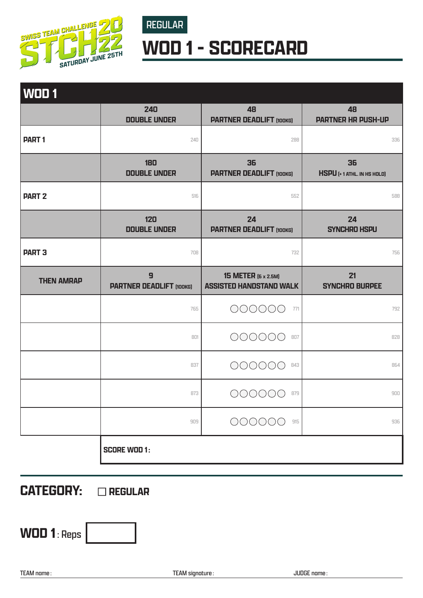

# **WOD 1 - SCORECARD**

REGULAR

| WOD <sub>1</sub>  |                                      |                                                              |                                         |
|-------------------|--------------------------------------|--------------------------------------------------------------|-----------------------------------------|
|                   | 240<br><b>DOUBLE UNDER</b>           | 48<br><b>PARTNER DEADLIFT (100KG)</b>                        | 48<br><b>PARTNER HR PUSH-UP</b>         |
| <b>PART1</b>      | 240                                  | 288                                                          | 336                                     |
|                   | 180<br><b>DOUBLE UNDER</b>           | 36<br><b>PARTNER DEADLIFT (100KG)</b>                        | 36<br><b>HSPU</b> [+1 ATHL. IN HS HOLD] |
| <b>PART 2</b>     | 516                                  | 552                                                          | 588                                     |
|                   | 120<br><b>DOUBLE UNDER</b>           | 24<br><b>PARTNER DEADLIFT (100KG)</b>                        | 24<br><b>SYNCHRO HSPU</b>               |
| <b>PART 3</b>     | 708                                  | 732                                                          | 756                                     |
| <b>THEN AMRAP</b> | 9<br><b>PARTNER DEADLIFT (100KG)</b> | <b>15 METER</b> [6 x 2.5M]<br><b>ASSISTED HANDSTAND WALK</b> | 21<br><b>SYNCHRO BURPEE</b>             |
|                   | 765                                  | 000000<br>771                                                | 792                                     |
|                   | 801                                  | 00000<br>807                                                 | 828                                     |
|                   | 837                                  | 00000<br>843                                                 | 864                                     |
|                   | 873                                  | 879                                                          | 900                                     |
|                   | 909                                  | 000000<br>915                                                | 936                                     |
|                   | <b>SCORE WOD 1:</b>                  |                                                              |                                         |

**CATEGORY: CREGULAR** 

**WOD 1**: Reps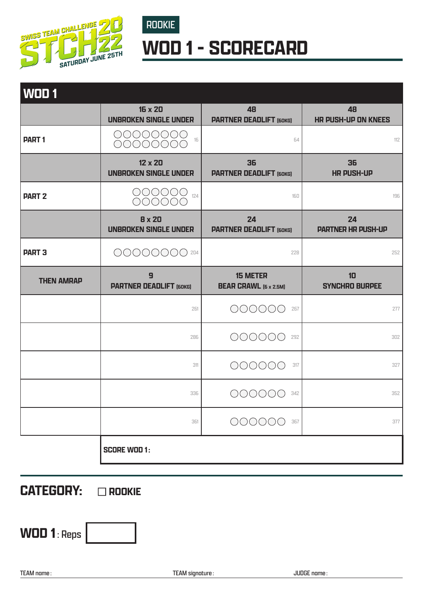

# ROOKIE **WOD 1 - SCORECARD**

| <b>WOD 1</b>      |                                                  |                                                 |                                  |
|-------------------|--------------------------------------------------|-------------------------------------------------|----------------------------------|
|                   | 16 x 20<br><b>UNBROKEN SINGLE UNDER</b>          | 48<br><b>PARTNER DEADLIFT (60KG)</b>            | 48<br><b>HR PUSH-UP ON KNEES</b> |
| <b>PART1</b>      | 00000000<br>16<br>00000000                       | 64                                              | 112                              |
|                   | 12 x 20<br><b>UNBROKEN SINGLE UNDER</b>          | 36<br><b>PARTNER DEADLIFT (60KG)</b>            | 36<br><b>HR PUSH-UP</b>          |
| <b>PART 2</b>     | 000000<br>124<br>000000                          | 160                                             | 196                              |
|                   | <b>8 x 20</b><br><b>UNBROKEN SINGLE UNDER</b>    | 24<br><b>PARTNER DEADLIFT (60KG)</b>            | 24<br><b>PARTNER HR PUSH-UP</b>  |
| <b>PART 3</b>     | 0000000 204                                      | 228                                             | 252                              |
| <b>THEN AMRAP</b> | $\overline{9}$<br><b>PARTNER DEADLIFT [60KG]</b> | <b>15 METER</b><br><b>BEAR CRAWL (6 x 2.5M)</b> | 10<br><b>SYNCHRO BURPEE</b>      |
|                   | 261                                              | 000000<br>267                                   | 277                              |
|                   | 286                                              | 000000<br>292                                   | 302                              |
|                   | 311                                              | 000000<br>317                                   | 327                              |
|                   | 336                                              | 342                                             | 352                              |
|                   | 361                                              | 000000<br>367                                   | 377                              |
|                   | <b>SCORE WOD 1:</b>                              |                                                 |                                  |

**CATEGORY: @ROOKIE** 

**WOD 1**: Reps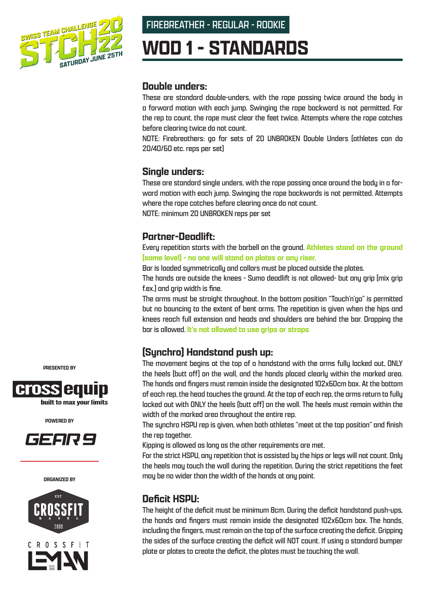

FIREBREATHER - REGULAR - ROOKIE

# **WOD 1 - STANDARDS**

#### **Double unders:**

These are standard double-unders, with the rope passing twice around the body in a forward motion with each jump. Swinging the rope backward is not permitted. For the rep to count, the rope must clear the feet twice. Attempts where the rope catches before clearing twice do not count.

NOTE: Firebreathers: go for sets of 20 UNBROKEN Double Unders (athletes can do 20/40/60 etc. reps per set)

#### **Single unders:**

These are standard single unders, with the rope passing once around the body in a forward motion with each jump. Swinging the rope backwards is not permitted. Attempts where the rope catches before clearing once do not count. NOTE: minimum 20 UNBROKEN reps per set

#### **Partner-Deadlift:**

Every repetition starts with the barbell on the ground. **Athletes stand on the ground (same level) - no one will stand on plates or any riser.**

Bar is loaded symmetrically and collars must be placed outside the plates.

The hands are outside the knees - Sumo deadlift is not allowed- but any grip (mix grip f.ex.) and grip width is fine.

The arms must be straight throughout. In the bottom position "Touch'n'go" is permitted but no bouncing to the extent of bent arms. The repetition is given when the hips and knees reach full extension and heads and shoulders are behind the bar. Dropping the bar is allowed. **It's not allowed to use grips or straps**

## **(Synchro) Handstand push up:**

The movement begins at the top of a handstand with the arms fully locked out, ONLY the heels (butt off) on the wall, and the hands placed clearly within the marked area. The hands and fingers must remain inside the designated 102x60cm box. At the bottom of each rep, the head touches the ground. At the top of each rep, the arms return to fully locked out with ONLY the heels (butt off) on the wall. The heels must remain within the width of the marked area throughout the entire rep.

The synchro HSPU rep is given, when both athletes "meet at the top position" and finish the rep together.

Kipping is allowed as long as the other requirements are met.

For the strict HSPU, any repetition that is assisted by the hips or legs will not count. Only the heels may touch the wall during the repetition. During the strict repetitions the feet may be no wider than the width of the hands at any point.

### **Deficit HSPU:**

The height of the deficit must be minimum 8cm. During the deficit handstand push-ups, the hands and fingers must remain inside the designated 102x60cm box. The hands, including the fingers, must remain on the top of the surface creating the deficit. Gripping the sides of the surface creating the deficit will NOT count. If using a standard bumper plate or plates to create the deficit, the plates must be touching the wall.

**PRESENTED BY**



**POWERED BY**



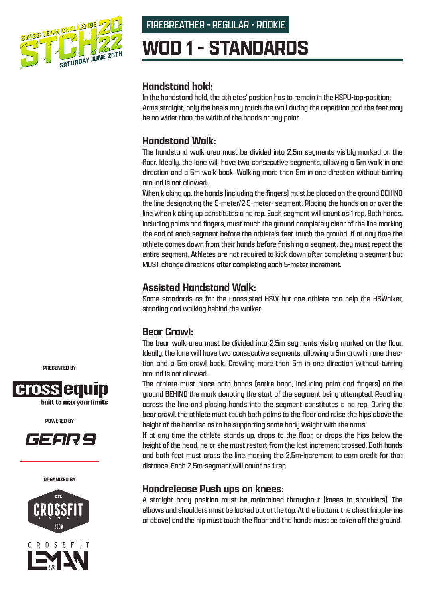

### FIREBREATHER - REGULAR - ROOKIE

# **WOD 1 - STANDARDS**

#### **Handstand hold:**

In the handstand hold, the athletes' position has to remain in the HSPU-top-position: Arms straight, only the heels may touch the wall during the repetition and the feet may be no wider than the width of the hands at any point.

### **Handstand Walk:**

The handstand walk area must be divided into 2,5m segments visibly marked on the floor. Ideally, the lane will have two consecutive segments, allowing a 5m walk in one direction and a 5m walk back. Walking more than 5m in one direction without turning around is not allowed.

When kicking up, the hands (including the fingers) must be placed on the ground BEHIND the line designating the 5-meter/2,5-meter- segment. Placing the hands on or over the line when kicking up constitutes a no rep. Each segment will count as 1 rep. Both hands, including palms and fingers, must touch the ground completely clear of the line marking the end of each segment before the athlete's feet touch the ground. If at any time the athlete comes down from their hands before finishing a segment, they must repeat the entire segment. Athletes are not required to kick down after completing a segment but MUST change directions after completing each 5-meter increment.

### **Assisted Handstand Walk:**

Same standards as for the unassisted HSW but one athlete can help the HSWalker, standing and walking behind the walker.

## **Bear Crawl:**

The bear walk area must be divided into 2,5m segments visibly marked on the floor. Ideally, the lane will have two consecutive segments, allowing a 5m crawl in one direction and a 5m crawl back. Crawling more than 5m in one direction without turning around is not allowed.

The athlete must place both hands (entire hand, including palm and fingers) on the ground BEHIND the mark denoting the start of the segment being attempted. Reaching across the line and placing hands into the segment constitutes a no rep. During the bear crawl, the athlete must touch both palms to the floor and raise the hips above the height of the head so as to be supporting some body weight with the arms.

If at any time the athlete stands up, drops to the floor, or drops the hips below the height of the head, he or she must restart from the last increment crossed. Both hands and both feet must cross the line marking the 2,5m-increment to earn credit for that distance. Each 2,5m-segment will count as 1 rep.

#### **Handrelease Push ups on knees:**

A straight body position must be maintained throughout (knees to shoulders). The elbows and shoulders must be locked out at the top. At the bottom, the chest (nipple-line or above) and the hip must touch the floor and the hands must be taken off the ground.

**PRESENTED BY**



**POWERED BY**